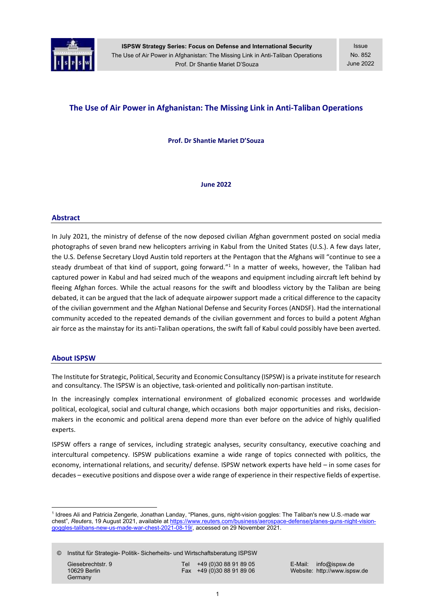

Issue No. 852 June 2022

# The Use of Air Power in Afghanistan: The Missing Link in Anti-Taliban Operations

Prof. Dr Shantie Mariet D'Souza

June 2022

### Abstract

In July 2021, the ministry of defense of the now deposed civilian Afghan government posted on social media photographs of seven brand new helicopters arriving in Kabul from the United States (U.S.). A few days later, the U.S. Defense Secretary Lloyd Austin told reporters at the Pentagon that the Afghans will "continue to see a steady drumbeat of that kind of support, going forward."<sup>1</sup> In a matter of weeks, however, the Taliban had captured power in Kabul and had seized much of the weapons and equipment including aircraft left behind by fleeing Afghan forces. While the actual reasons for the swift and bloodless victory by the Taliban are being debated, it can be argued that the lack of adequate airpower support made a critical difference to the capacity of the civilian government and the Afghan National Defense and Security Forces (ANDSF). Had the international community acceded to the repeated demands of the civilian government and forces to build a potent Afghan air force as the mainstay for its anti-Taliban operations, the swift fall of Kabul could possibly have been averted.

### About ISPSW

The Institute for Strategic, Political, Security and Economic Consultancy (ISPSW) is a private institute for research and consultancy. The ISPSW is an objective, task-oriented and politically non-partisan institute.

In the increasingly complex international environment of globalized economic processes and worldwide political, ecological, social and cultural change, which occasions both major opportunities and risks, decisionmakers in the economic and political arena depend more than ever before on the advice of highly qualified experts.

ISPSW offers a range of services, including strategic analyses, security consultancy, executive coaching and intercultural competency. ISPSW publications examine a wide range of topics connected with politics, the economy, international relations, and security/ defense. ISPSW network experts have held – in some cases for decades – executive positions and dispose over a wide range of experience in their respective fields of expertise.

© Institut für Strategie- Politik- Sicherheits- und Wirtschaftsberatung ISPSW

**Germany** 

Giesebrechtstr. 9 Tel +49 (0)30 88 91 89 05 E-Mail: info@ispsw.de

<sup>1</sup> Idrees Ali and Patricia Zengerle, Jonathan Landay, "Planes, guns, night-vision goggles: The Taliban's new U.S.-made war chest", Reuters, 19 August 2021, available at https://www.reuters.com/business/aerospace-defense/planes-guns-night-visiongoggles-talibans-new-us-made-war-chest-2021-08-19/, accessed on 29 November 2021.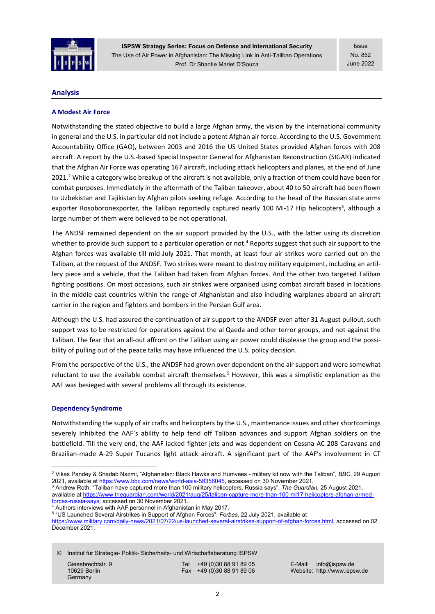

Issue No. 852 June 2022

### Analysis

## A Modest Air Force

Notwithstanding the stated objective to build a large Afghan army, the vision by the international community in general and the U.S. in particular did not include a potent Afghan air force. According to the U.S. Government Accountability Office (GAO), between 2003 and 2016 the US United States provided Afghan forces with 208 aircraft. A report by the U.S.-based Special Inspector General for Afghanistan Reconstruction (SIGAR) indicated that the Afghan Air Force was operating 167 aircraft, including attack helicopters and planes, at the end of June 2021.<sup>2</sup> While a category wise breakup of the aircraft is not available, only a fraction of them could have been for combat purposes. Immediately in the aftermath of the Taliban takeover, about 40 to 50 aircraft had been flown to Uzbekistan and Tajikistan by Afghan pilots seeking refuge. According to the head of the Russian state arms exporter Rosoboronexporter, the Taliban reportedly captured nearly 100 Mi-17 Hip helicopters<sup>3</sup>, although a large number of them were believed to be not operational.

The ANDSF remained dependent on the air support provided by the U.S., with the latter using its discretion whether to provide such support to a particular operation or not.<sup>4</sup> Reports suggest that such air support to the Afghan forces was available till mid-July 2021. That month, at least four air strikes were carried out on the Taliban, at the request of the ANDSF. Two strikes were meant to destroy military equipment, including an artillery piece and a vehicle, that the Taliban had taken from Afghan forces. And the other two targeted Taliban fighting positions. On most occasions, such air strikes were organised using combat aircraft based in locations in the middle east countries within the range of Afghanistan and also including warplanes aboard an aircraft carrier in the region and fighters and bombers in the Persian Gulf area.

Although the U.S. had assured the continuation of air support to the ANDSF even after 31 August pullout, such support was to be restricted for operations against the al Qaeda and other terror groups, and not against the Taliban. The fear that an all-out affront on the Taliban using air power could displease the group and the possibility of pulling out of the peace talks may have influenced the U.S. policy decision.

From the perspective of the U.S., the ANDSF had grown over dependent on the air support and were somewhat reluctant to use the available combat aircraft themselves.<sup>5</sup> However, this was a simplistic explanation as the AAF was besieged with several problems all through its existence.

### Dependency Syndrome

Notwithstanding the supply of air crafts and helicopters by the U.S., maintenance issues and other shortcomings severely inhibited the AAF's ability to help fend off Taliban advances and support Afghan soldiers on the battlefield. Till the very end, the AAF lacked fighter jets and was dependent on Cessna AC-208 Caravans and Brazilian-made A-29 Super Tucanos light attack aircraft. A significant part of the AAF's involvement in CT

<sup>3</sup> Andrew Roth, "Taliban have captured more than 100 military helicopters, Russia says", The Guardian, 25 August 2021, available at https://www.theguardian.com/world/2021/aug/25/taliban-capture-more-than-100-mi17-helicopters-afghan-armedforces-russia-says, accessed on 30 November 2021.

© Institut für Strategie- Politik- Sicherheits- und Wirtschaftsberatung ISPSW

**Germany** 

Giesebrechtstr. 9 Tel +49 (0)30 88 91 89 05 E-Mail: info@ispsw.de<br>10629 Berlin Fax +49 (0)30 88 91 89 06 Website: http://www.isps

 $^2$  Vikas Pandey & Shadab Nazmi, "Afghanistan: Black Hawks and Humvees - military kit now with the Taliban", BBC, 29 August 2021, available at https://www.bbc.com/news/world-asia-58356045, accessed on 30 November 2021.

<sup>4</sup> Authors interviews with AAF personnel in Afghanistan in May 2017.

<sup>&</sup>lt;sup>5</sup> "US Launched Several Airstrikes in Support of Afghan Forces", *Forbes*, 22 July 2021, available at

https://www.military.com/daily-news/2021/07/22/us-launched-several-airstrikes-support-of-afghan-forces.html, accessed on 02 December 2021.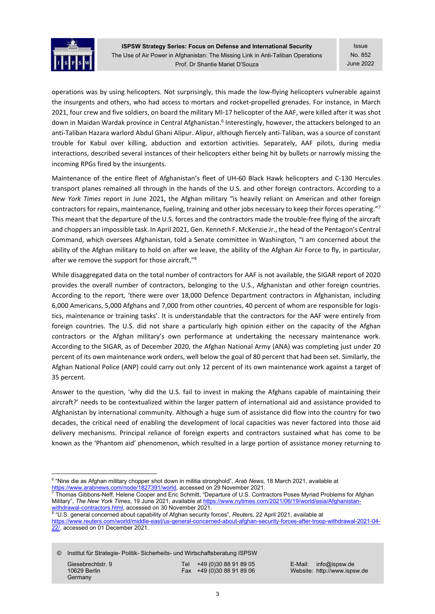

Issue No. 852 June 2022

operations was by using helicopters. Not surprisingly, this made the low-flying helicopters vulnerable against the insurgents and others, who had access to mortars and rocket-propelled grenades. For instance, in March 2021, four crew and five soldiers, on board the military MI-17 helicopter of the AAF, were killed after it was shot down in Maidan Wardak province in Central Afghanistan.<sup>6</sup> Interestingly, however, the attackers belonged to an anti-Taliban Hazara warlord Abdul Ghani Alipur. Alipur, although fiercely anti-Taliban, was a source of constant trouble for Kabul over killing, abduction and extortion activities. Separately, AAF pilots, during media interactions, described several instances of their helicopters either being hit by bullets or narrowly missing the incoming RPGs fired by the insurgents.

Maintenance of the entire fleet of Afghanistan's fleet of UH-60 Black Hawk helicopters and C-130 Hercules transport planes remained all through in the hands of the U.S. and other foreign contractors. According to a New York Times report in June 2021, the Afghan military "is heavily reliant on American and other foreign contractors for repairs, maintenance, fueling, training and other jobs necessary to keep their forces operating."<sup>7</sup> This meant that the departure of the U.S. forces and the contractors made the trouble-free flying of the aircraft and choppers an impossible task. In April 2021, Gen. Kenneth F. McKenzie Jr., the head of the Pentagon's Central Command, which oversees Afghanistan, told a Senate committee in Washington, "I am concerned about the ability of the Afghan military to hold on after we leave, the ability of the Afghan Air Force to fly, in particular, after we remove the support for those aircraft."<sup>8</sup>

While disaggregated data on the total number of contractors for AAF is not available, the SIGAR report of 2020 provides the overall number of contractors, belonging to the U.S., Afghanistan and other foreign countries. According to the report, 'there were over 18,000 Defence Department contractors in Afghanistan, including 6,000 Americans, 5,000 Afghans and 7,000 from other countries, 40 percent of whom are responsible for logistics, maintenance or training tasks'. It is understandable that the contractors for the AAF were entirely from foreign countries. The U.S. did not share a particularly high opinion either on the capacity of the Afghan contractors or the Afghan military's own performance at undertaking the necessary maintenance work. According to the SIGAR, as of December 2020, the Afghan National Army (ANA) was completing just under 20 percent of its own maintenance work orders, well below the goal of 80 percent that had been set. Similarly, the Afghan National Police (ANP) could carry out only 12 percent of its own maintenance work against a target of 35 percent.

Answer to the question, 'why did the U.S. fail to invest in making the Afghans capable of maintaining their aircraft?' needs to be contextualized within the larger pattern of international aid and assistance provided to Afghanistan by international community. Although a huge sum of assistance did flow into the country for two decades, the critical need of enabling the development of local capacities was never factored into those aid delivery mechanisms. Principal reliance of foreign experts and contractors sustained what has come to be known as the 'Phantom aid' phenomenon, which resulted in a large portion of assistance money returning to

© Institut für Strategie- Politik- Sicherheits- und Wirtschaftsberatung ISPSW Giesebrechtstr. 9 Tel +49 (0)30 88 91 89 05 E-Mail: info@ispsw.de<br>10629 Berlin Fax +49 (0)30 88 91 89 06 Website: http://www.isps Germany

 $^6$  "Nine die as Afghan military chopper shot down in militia stronghold", *Arab News*, 18 March 2021, available at https://www.arabnews.com/node/1827391/world, accessed on 29 November 2021.<br><sup>7</sup> Thomas Gibbons-Neff. Helene Cooper and Fric Schmitt. "Departure of U.S. Contro

Thomas Gibbons-Neff, Helene Cooper and Eric Schmitt, "Departure of U.S. Contractors Poses Myriad Problems for Afghan Military", The New York Times, 19 June 2021, available at https://www.nytimes.com/2021/06/19/world/asia/Afghanistan-<u>withdrawal-contractors.html</u>, accessed on 30 November 2021.<br><sup>8</sup> "U.S. general concerned about capability of Afghan security forces", *Reuters*, 22 April 2021, available at

https://www.reuters.com/world/middle-east/us-general-concerned-about-afghan-security-forces-after-troop-withdrawal-2021-04- 22/, accessed on 01 December 2021.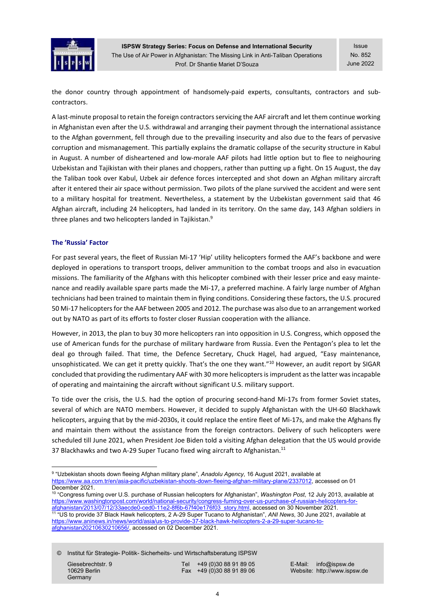

Issue No. 852 June 2022

the donor country through appointment of handsomely-paid experts, consultants, contractors and subcontractors.

A last-minute proposal to retain the foreign contractors servicing the AAF aircraft and let them continue working in Afghanistan even after the U.S. withdrawal and arranging their payment through the international assistance to the Afghan government, fell through due to the prevailing insecurity and also due to the fears of pervasive corruption and mismanagement. This partially explains the dramatic collapse of the security structure in Kabul in August. A number of disheartened and low-morale AAF pilots had little option but to flee to neighouring Uzbekistan and Tajikistan with their planes and choppers, rather than putting up a fight. On 15 August, the day the Taliban took over Kabul, Uzbek air defence forces intercepted and shot down an Afghan military aircraft after it entered their air space without permission. Two pilots of the plane survived the accident and were sent to a military hospital for treatment. Nevertheless, a statement by the Uzbekistan government said that 46 Afghan aircraft, including 24 helicopters, had landed in its territory. On the same day, 143 Afghan soldiers in three planes and two helicopters landed in Tajikistan.<sup>9</sup>

#### The 'Russia' Factor

For past several years, the fleet of Russian Mi-17 'Hip' utility helicopters formed the AAF's backbone and were deployed in operations to transport troops, deliver ammunition to the combat troops and also in evacuation missions. The familiarity of the Afghans with this helicopter combined with their lesser price and easy maintenance and readily available spare parts made the Mi-17, a preferred machine. A fairly large number of Afghan technicians had been trained to maintain them in flying conditions. Considering these factors, the U.S. procured 50 Mi-17 helicopters for the AAF between 2005 and 2012. The purchase was also due to an arrangement worked out by NATO as part of its efforts to foster closer Russian cooperation with the alliance.

However, in 2013, the plan to buy 30 more helicopters ran into opposition in U.S. Congress, which opposed the use of American funds for the purchase of military hardware from Russia. Even the Pentagon's plea to let the deal go through failed. That time, the Defence Secretary, Chuck Hagel, had argued, "Easy maintenance, unsophisticated. We can get it pretty quickly. That's the one they want."<sup>10</sup> However, an audit report by SIGAR concluded that providing the rudimentary AAF with 30 more helicopters is imprudent as the latter was incapable of operating and maintaining the aircraft without significant U.S. military support.

To tide over the crisis, the U.S. had the option of procuring second-hand Mi-17s from former Soviet states, several of which are NATO members. However, it decided to supply Afghanistan with the UH-60 Blackhawk helicopters, arguing that by the mid-2030s, it could replace the entire fleet of Mi-17s, and make the Afghans fly and maintain them without the assistance from the foreign contractors. Delivery of such helicopters were scheduled till June 2021, when President Joe Biden told a visiting Afghan delegation that the US would provide 37 Blackhawks and two A-29 Super Tucano fixed wing aircraft to Afghanistan.<sup>11</sup>

© Institut für Strategie- Politik- Sicherheits- und Wirtschaftsberatung ISPSW

**Germany** 

Giesebrechtstr. 9 Tel +49 (0)30 88 91 89 05 E-Mail: info@ispsw.de<br>10629 Berlin Fax +49 (0)30 88 91 89 06 Website: http://www.isps

<sup>&</sup>lt;sup>9</sup> "Uzbekistan shoots down fleeing Afghan military plane", Anadolu Agency, 16 August 2021, available at https://www.aa.com.tr/en/asia-pacific/uzbekistan-shoots-down-fleeing-afghan-military-plane/2337012, accessed on 01 December 2021.

<sup>&</sup>lt;sup>10</sup> "Congress fuming over U.S. purchase of Russian helicopters for Afghanistan", Washington Post, 12 July 2013, available at https://www.washingtonpost.com/world/national-security/congress-fuming-over-us-purchase-of-russian-helicopters-forafghanistan/2013/07/12/33aecde0-ced0-11e2-8f6b-67f40e176f03\_story.html, accessed on 30 November 2021. 11 "US to provide 37 Black Hawk helicopters, 2 A-29 Super Tucano to Afghanistan", ANI News, 30 June 2021, available at https://www.aninews.in/news/world/asia/us-to-provide-37-black-hawk-helicopters-2-a-29-super-tucano-toafghanistan20210630210656/, accessed on 02 December 2021.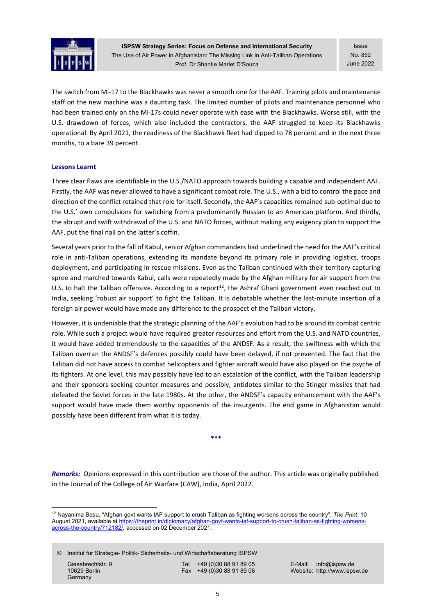

Issue No. 852 June 2022

The switch from Mi-17 to the Blackhawks was never a smooth one for the AAF. Training pilots and maintenance staff on the new machine was a daunting task. The limited number of pilots and maintenance personnel who had been trained only on the Mi-17s could never operate with ease with the Blackhawks. Worse still, with the U.S. drawdown of forces, which also included the contractors, the AAF struggled to keep its Blackhawks operational. By April 2021, the readiness of the Blackhawk fleet had dipped to 78 percent and in the next three months, to a bare 39 percent.

#### Lessons Learnt

Three clear flaws are identifiable in the U.S./NATO approach towards building a capable and independent AAF. Firstly, the AAF was never allowed to have a significant combat role. The U.S., with a bid to control the pace and direction of the conflict retained that role for itself. Secondly, the AAF's capacities remained sub-optimal due to the U.S.' own compulsions for switching from a predominantly Russian to an American platform. And thirdly, the abrupt and swift withdrawal of the U.S. and NATO forces, without making any exigency plan to support the AAF, put the final nail on the latter's coffin.

Several years prior to the fall of Kabul, senior Afghan commanders had underlined the need for the AAF's critical role in anti-Taliban operations, extending its mandate beyond its primary role in providing logistics, troops deployment, and participating in rescue missions. Even as the Taliban continued with their territory capturing spree and marched towards Kabul, calls were repeatedly made by the Afghan military for air support from the U.S. to halt the Taliban offensive. According to a report<sup>12</sup>, the Ashraf Ghani government even reached out to India, seeking 'robust air support' to fight the Taliban. It is debatable whether the last-minute insertion of a foreign air power would have made any difference to the prospect of the Taliban victory.

However, it is undeniable that the strategic planning of the AAF's evolution had to be around its combat centric role. While such a project would have required greater resources and effort from the U.S. and NATO countries, it would have added tremendously to the capacities of the ANDSF. As a result, the swiftness with which the Taliban overran the ANDSF's defences possibly could have been delayed, if not prevented. The fact that the Taliban did not have access to combat helicopters and fighter aircraft would have also played on the psyche of its fighters. At one level, this may possibly have led to an escalation of the conflict, with the Taliban leadership and their sponsors seeking counter measures and possibly, antidotes similar to the Stinger missiles that had defeated the Soviet forces in the late 1980s. At the other, the ANDSF's capacity enhancement with the AAF's support would have made them worthy opponents of the insurgents. The end game in Afghanistan would possibly have been different from what it is today.

Remarks: Opinions expressed in this contribution are those of the author. This article was originally published in the Journal of the College of Air Warfare (CAW), India, April 2022.

\*\*\*

© Institut für Strategie- Politik- Sicherheits- und Wirtschaftsberatung ISPSW Giesebrechtstr. 9 Tel +49 (0)30 88 91 89 05 E-Mail: info@ispsw.de<br>10629 Berlin Fax +49 (0)30 88 91 89 06 Website: http://www.isps

**Germany** 

<sup>&</sup>lt;sup>12</sup> Nayanima Basu, "Afghan govt wants IAF support to crush Taliban as fighting worsens across the country", The Print, 10 August 2021, available at https://theprint.in/diplomacy/afghan-govt-wants-iaf-support-to-crush-taliban-as-fighting-worsensacross-the-country/712182/, accessed on 02 December 2021.